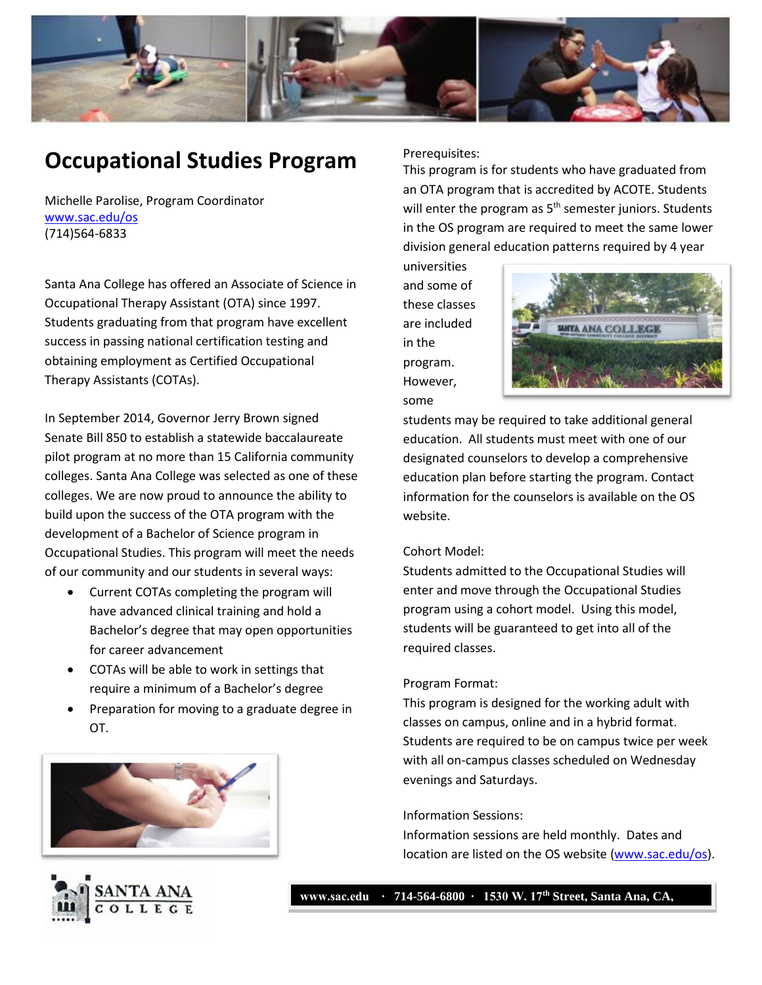

# **Occupational Studies Program**

Michelle Parolise, Program Coordinator [www.sac.edu/os](http://www.sac.edu/os) (714)564-6833

Santa Ana College has offered an Associate of Science in Occupational Therapy Assistant (OTA) since 1997. Students graduating from that program have excellent success in passing national certification testing and obtaining employment as Certified Occupational Therapy Assistants (COTAs).

In September 2014, Governor Jerry Brown signed Senate Bill 850 to establish a statewide baccalaureate pilot program at no more than 15 California community colleges. Santa Ana College was selected as one of these colleges. We are now proud to announce the ability to build upon the success of the OTA program with the development of a Bachelor of Science program in Occupational Studies. This program will meet the needs of our community and our students in several ways:

- Current COTAs completing the program will have advanced clinical training and hold a Bachelor's degree that may open opportunities for career advancement
- COTAs will be able to work in settings that require a minimum of a Bachelor's degree
- Preparation for moving to a graduate degree in OT.

**92706**





Prerequisites:

This program is for students who have graduated from an OTA program that is accredited by ACOTE. Students will enter the program as  $5<sup>th</sup>$  semester juniors. Students in the OS program are required to meet the same lower division general education patterns required by 4 year

universities and some of these classes are included in the program. However, some



students may be required to take additional general education. All students must meet with one of our designated counselors to develop a comprehensive education plan before starting the program. Contact information for the counselors is available on the OS website.

## Cohort Model:

Students admitted to the Occupational Studies will enter and move through the Occupational Studies program using a cohort model. Using this model, students will be guaranteed to get into all of the required classes.

#### Program Format:

This program is designed for the working adult with classes on campus, online and in a hybrid format. Students are required to be on campus twice per week with all on-campus classes scheduled on Wednesday evenings and Saturdays.

#### Information Sessions:

Information sessions are held monthly. Dates and location are listed on the OS website [\(www.sac.edu/os\)](http://www.sac.edu/os).

**www.sac.edu ∙ 714-564-6800 ∙ 1530 W. 17th Street, Santa Ana, CA,**